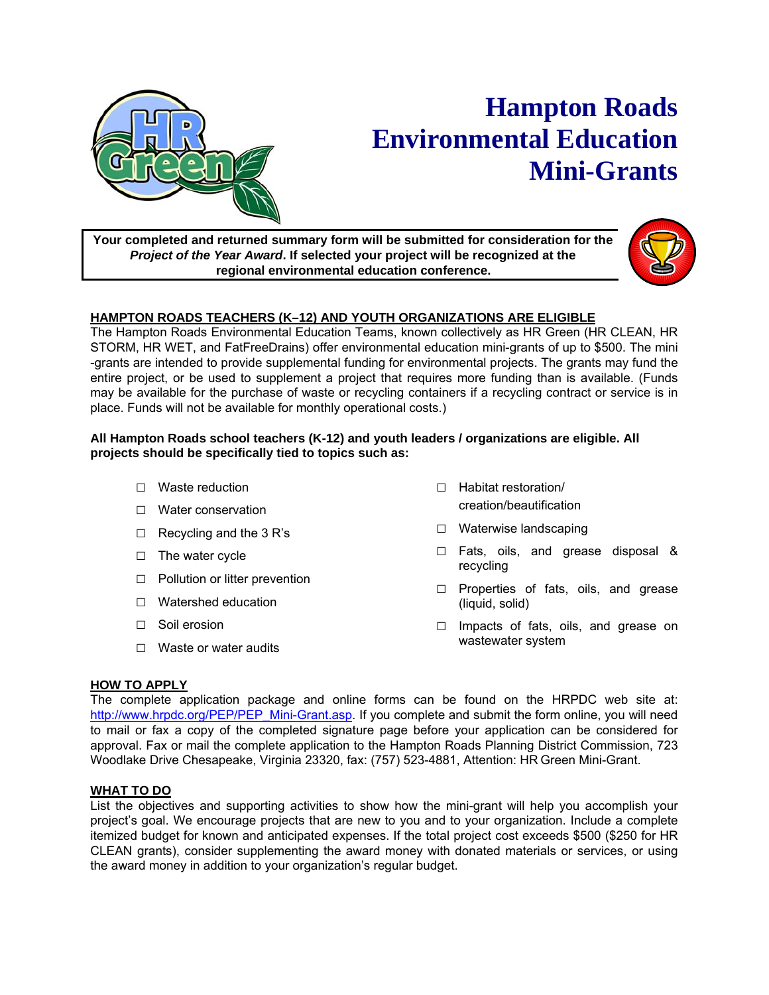

# **Hampton Roads Environmental Education Mini-Grants**

**Your completed and returned summary form will be submitted for consideration for the**  *Project of the Year Award***. If selected your project will be recognized at the regional environmental education conference.** 



## **HAMPTON ROADS TEACHERS (K–12) AND YOUTH ORGANIZATIONS ARE ELIGIBLE**

The Hampton Roads Environmental Education Teams, known collectively as HR Green (HR CLEAN, HR STORM, HR WET, and FatFreeDrains) offer environmental education mini-grants of up to \$500. The mini -grants are intended to provide supplemental funding for environmental projects. The grants may fund the entire project, or be used to supplement a project that requires more funding than is available. (Funds may be available for the purchase of waste or recycling containers if a recycling contract or service is in place. Funds will not be available for monthly operational costs.)

### **All Hampton Roads school teachers (K-12) and youth leaders / organizations are eligible. All projects should be specifically tied to topics such as:**

- □ Waste reduction
- □ Water conservation
- $\Box$  Recycling and the 3 R's
- □ The water cycle
- □ Pollution or litter prevention
- □ Watershed education
- □ Soil erosion
- $\Box$  Waste or water audits
- □ Habitat restoration/ creation/beautification
- □ Waterwise landscaping
- □ Fats, oils, and grease disposal & recycling
- □ Properties of fats, oils, and grease (liquid, solid)
- □ Impacts of fats, oils, and grease on wastewater system

## **HOW TO APPLY**

The complete application package and online forms can be found on the HRPDC web site at: http://www.hrpdc.org/PEP/PEP\_Mini-Grant.asp. If you complete and submit the form online, you will need to mail or fax a copy of the completed signature page before your application can be considered for approval. Fax or mail the complete application to the Hampton Roads Planning District Commission, 723 Woodlake Drive Chesapeake, Virginia 23320, fax: (757) 523-4881, Attention: HR Green Mini-Grant.

### **WHAT TO DO**

List the objectives and supporting activities to show how the mini-grant will help you accomplish your project's goal. We encourage projects that are new to you and to your organization. Include a complete itemized budget for known and anticipated expenses. If the total project cost exceeds \$500 (\$250 for HR CLEAN grants), consider supplementing the award money with donated materials or services, or using the award money in addition to your organization's regular budget.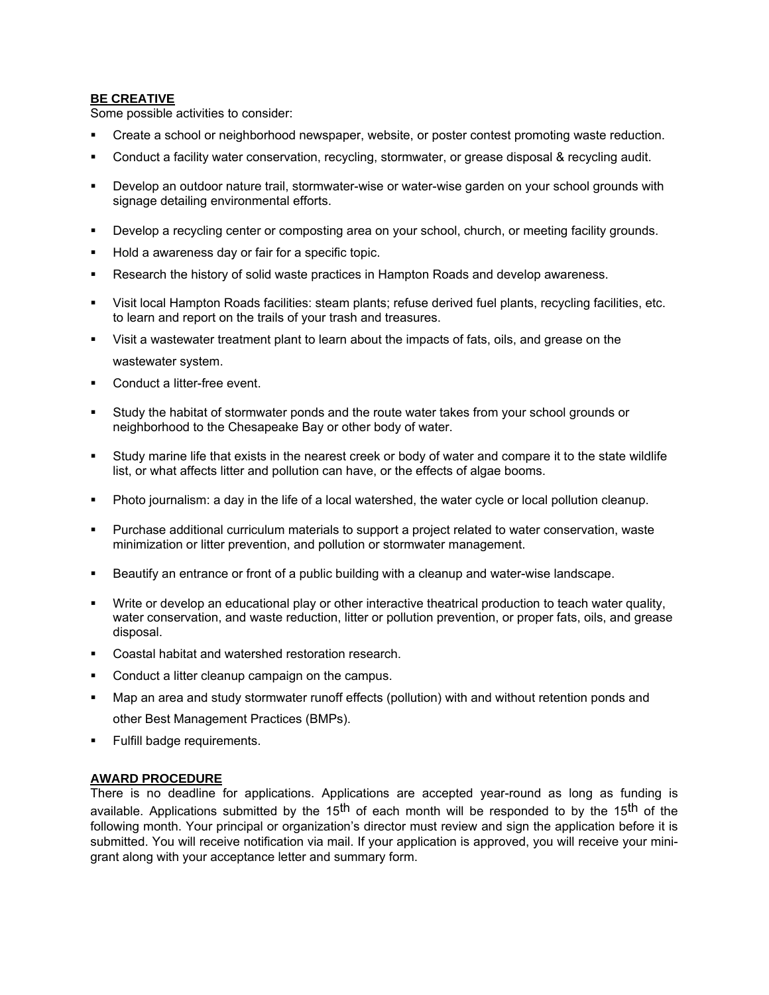#### **BE CREATIVE**

Some possible activities to consider:

- Create a school or neighborhood newspaper, website, or poster contest promoting waste reduction.
- Conduct a facility water conservation, recycling, stormwater, or grease disposal & recycling audit.
- Develop an outdoor nature trail, stormwater-wise or water-wise garden on your school grounds with signage detailing environmental efforts.
- Develop a recycling center or composting area on your school, church, or meeting facility grounds.
- Hold a awareness day or fair for a specific topic.
- **Research the history of solid waste practices in Hampton Roads and develop awareness.**
- Visit local Hampton Roads facilities: steam plants; refuse derived fuel plants, recycling facilities, etc. to learn and report on the trails of your trash and treasures.
- Visit a wastewater treatment plant to learn about the impacts of fats, oils, and grease on the wastewater system.
- **Conduct a litter-free event.**
- Study the habitat of stormwater ponds and the route water takes from your school grounds or neighborhood to the Chesapeake Bay or other body of water.
- Study marine life that exists in the nearest creek or body of water and compare it to the state wildlife list, or what affects litter and pollution can have, or the effects of algae booms.
- Photo journalism: a day in the life of a local watershed, the water cycle or local pollution cleanup.
- Purchase additional curriculum materials to support a project related to water conservation, waste minimization or litter prevention, and pollution or stormwater management.
- Beautify an entrance or front of a public building with a cleanup and water-wise landscape.
- Write or develop an educational play or other interactive theatrical production to teach water quality, water conservation, and waste reduction, litter or pollution prevention, or proper fats, oils, and grease disposal.
- Coastal habitat and watershed restoration research.
- Conduct a litter cleanup campaign on the campus.
- Map an area and study stormwater runoff effects (pollution) with and without retention ponds and other Best Management Practices (BMPs).
- Fulfill badge requirements.

#### **AWARD PROCEDURE**

There is no deadline for applications. Applications are accepted year-round as long as funding is available. Applications submitted by the 15<sup>th</sup> of each month will be responded to by the 15<sup>th</sup> of the following month. Your principal or organization's director must review and sign the application before it is submitted. You will receive notification via mail. If your application is approved, you will receive your minigrant along with your acceptance letter and summary form.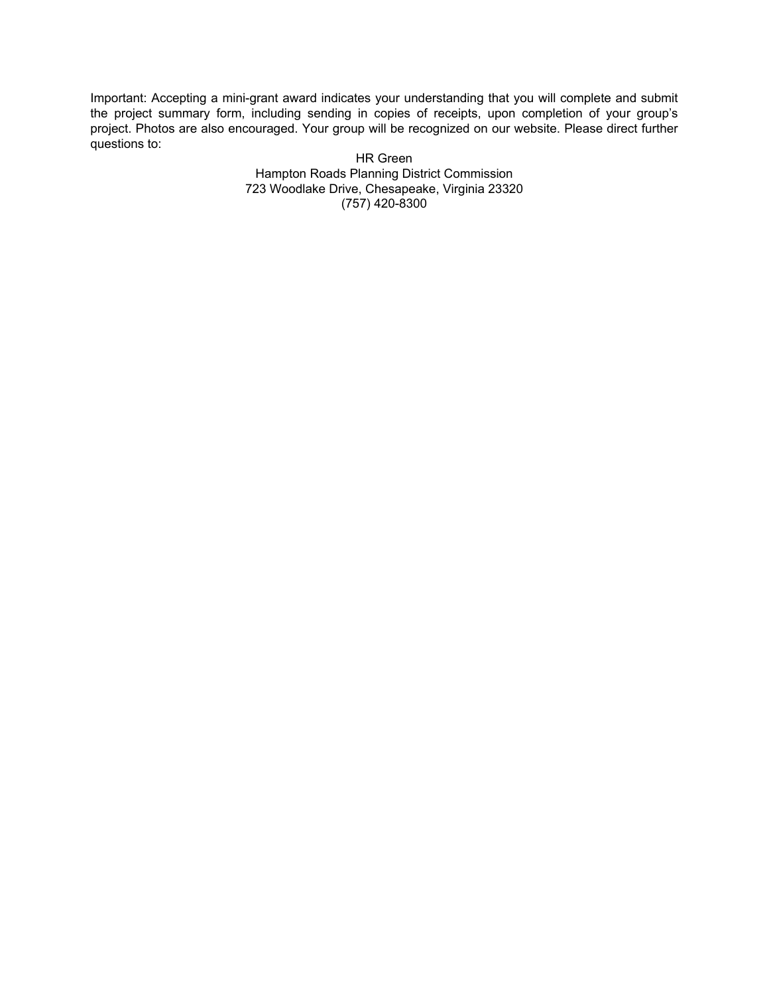Important: Accepting a mini-grant award indicates your understanding that you will complete and submit the project summary form, including sending in copies of receipts, upon completion of your group's project. Photos are also encouraged. Your group will be recognized on our website. Please direct further questions to:

HR Green Hampton Roads Planning District Commission 723 Woodlake Drive, Chesapeake, Virginia 23320 (757) 420-8300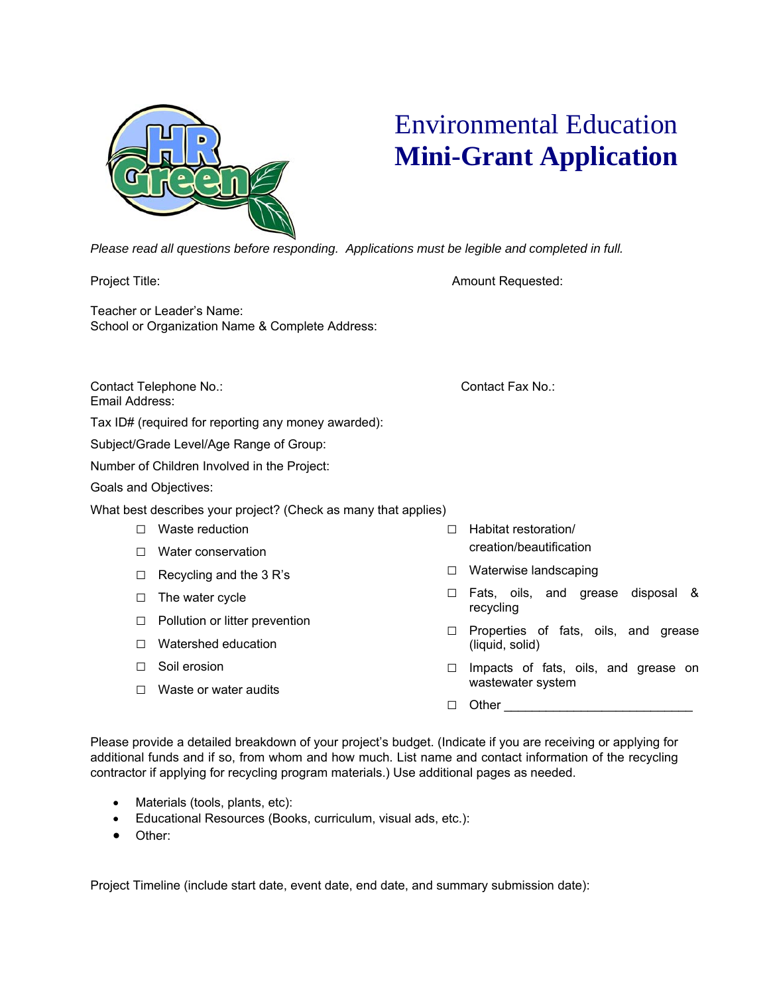

# Environmental Education **Mini-Grant Application**

*Please read all questions before responding. Applications must be legible and completed in full.* 

Project Title: **Amount Requested:** Amount Requested:

Email Address:

Teacher or Leader's Name:

Contact Telephone No.: Contact Fax No.:

Tax ID# (required for reporting any money awarded):

School or Organization Name & Complete Address:

Subject/Grade Level/Age Range of Group:

Number of Children Involved in the Project:

Goals and Objectives:

What best describes your project? (Check as many that applies)

- □ Waste reduction
- □ Water conservation
- $\Box$  Recycling and the 3 R's
- □ The water cycle
- □ Pollution or litter prevention
- □ Watershed education
- □ Soil erosion
- □ Waste or water audits
- □ Habitat restoration/ creation/beautification
- □ Waterwise landscaping
- □ Fats, oils, and grease disposal & recycling
- □ Properties of fats, oils, and grease (liquid, solid)
- □ Impacts of fats, oils, and grease on wastewater system
- $\Box$  Other

Please provide a detailed breakdown of your project's budget. (Indicate if you are receiving or applying for additional funds and if so, from whom and how much. List name and contact information of the recycling contractor if applying for recycling program materials.) Use additional pages as needed.

- Materials (tools, plants, etc):
- Educational Resources (Books, curriculum, visual ads, etc.):
- Other:

Project Timeline (include start date, event date, end date, and summary submission date):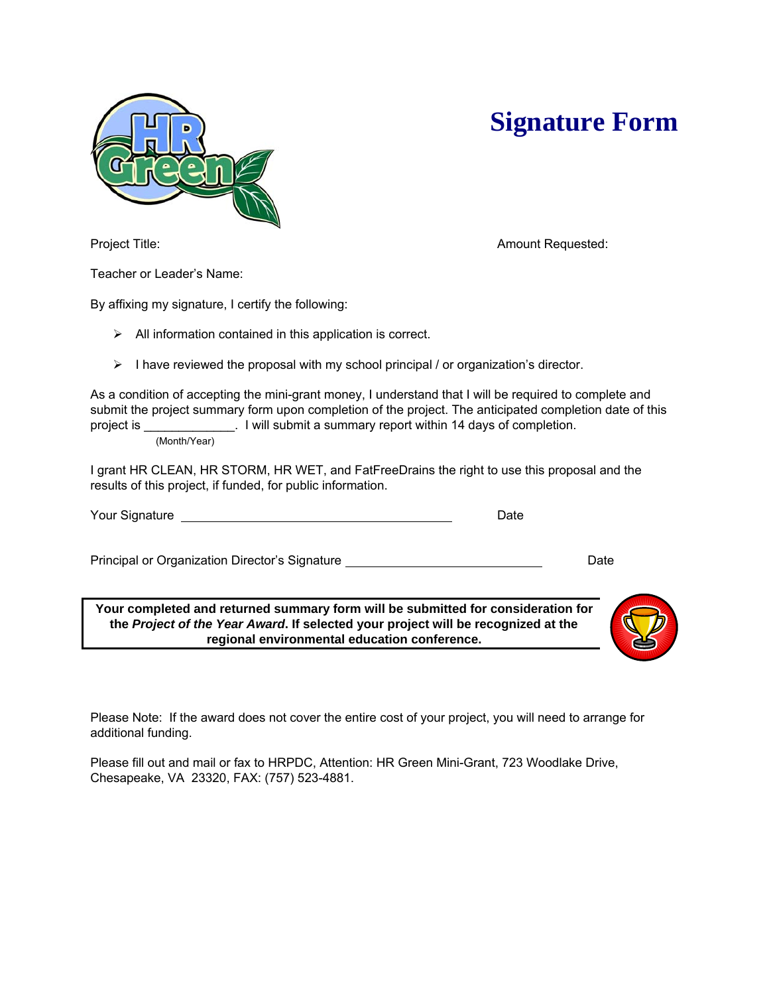



Project Title: **Amount Requested: Amount Requested: Amount Requested:** 

Teacher or Leader's Name:

By affixing my signature, I certify the following:

- $\triangleright$  All information contained in this application is correct.
- $\triangleright$  I have reviewed the proposal with my school principal / or organization's director.

As a condition of accepting the mini-grant money, I understand that I will be required to complete and submit the project summary form upon completion of the project. The anticipated completion date of this project is \_\_\_\_\_\_\_\_\_\_\_\_\_. I will submit a summary report within 14 days of completion. (Month/Year)

I grant HR CLEAN, HR STORM, HR WET, and FatFreeDrains the right to use this proposal and the results of this project, if funded, for public information.

Your Signature Date

Principal or Organization Director's Signature **Date** Date Date

**Your completed and returned summary form will be submitted for consideration for the** *Project of the Year Award***. If selected your project will be recognized at the regional environmental education conference.** 

Please Note: If the award does not cover the entire cost of your project, you will need to arrange for additional funding.

Please fill out and mail or fax to HRPDC, Attention: HR Green Mini-Grant, 723 Woodlake Drive, Chesapeake, VA 23320, FAX: (757) 523-4881.